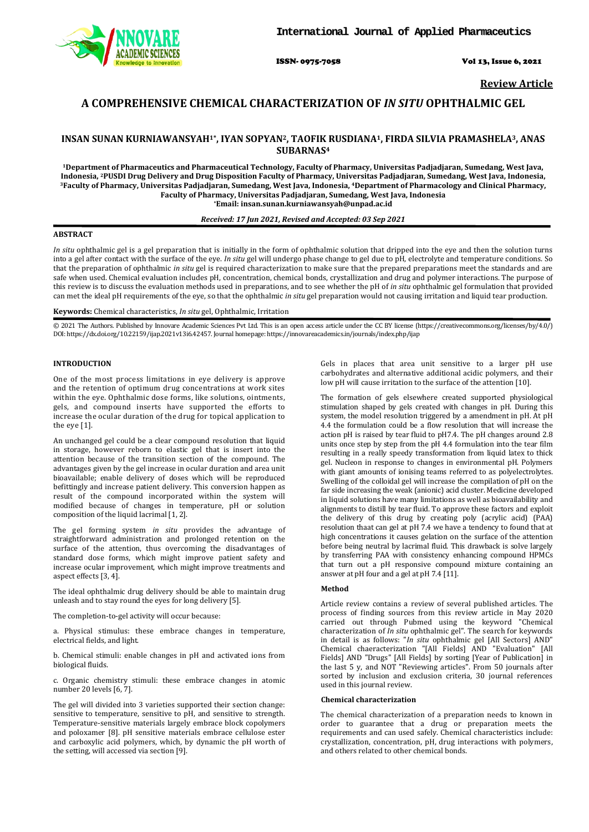ISSN- 0975-7058 Vol 13, Issue 6, 2021

**Review Article**

# **A COMPREHENSIVE CHEMICAL CHARACTERIZATION OF** *IN SITU* **OPHTHALMIC GEL**

## **INSAN SUNAN KURNIAWANSYAH1\*, IYAN SOPYAN2, TAOFIK RUSDIANA1, FIRDA SILVIA PRAMASHELA3, ANAS SUBARNAS4**

**1Department of Pharmaceutics and Pharmaceutical Technology, Faculty of Pharmacy, Universitas Padjadjaran, Sumedang, West Java,** Indonesia, <sup>2</sup>PUSDI Drug Delivery and Drug Disposition Faculty of Pharmacy, Universitas Padjadjaran, Sumedang, West Java, Indonesia, <sup>3</sup>Faculty of Pharmacy, Universitas Padjadjaran, Sumedang, West Java, Indonesia, <sup>3</sup>Facul **Faculty of Pharmacy, Universitas Padjadjaran, Sumedang, West Java, Indonesia \*Email: insan.sunan.kurniawansyah@unpad.ac.id**

## *Received: 17 Jun 2021, Revised and Accepted: 03 Sep 2021*

## **ABSTRACT**

*In situ* ophthalmic gel is a gel preparation that is initially in the form of ophthalmic solution that dripped into the eye and then the solution turns into a gel after contact with the surface of the eye. *In situ* gel will undergo phase change to gel due to pH, electrolyte and temperature conditions. So that the preparation of ophthalmic *in situ* gel is required characterization to make sure that the prepared preparations meet the standards and are safe when used. Chemical evaluation includes pH, concentration, chemical bonds, crystallization and drug and polymer interactions. The purpose of this review is to discuss the evaluation methods used in preparations, and to see whether the pH of *in situ* ophthalmic gel formulation that provided can met the ideal pH requirements of the eye, so that the ophthalmic *in situ* gel preparation would not causing irritation and liquid tear production.

## **Keywords:** Chemical characteristics, *In situ* gel, Ophthalmic, Irritation

© 2021 The Authors. Published by Innovare Academic Sciences Pvt Ltd. This is an open access article under the CC BY license [\(https://creativecommons.org/licenses/by/4.0/\)](https://creativecommons.org/licenses/by/4.0/) DOI: https://dx.doi.org/10.22159/ijap.2021v13i6.42457. Journal homepage[: https://innovareacademics.in/journals/index.php/ijap](https://innovareacademics.in/journals/index.php/ijap)

## **INTRODUCTION**

One of the most process limitations in eye delivery is approve and the retention of optimum drug concentrations at work sites within the eye. Ophthalmic dose forms, like solutions, ointments, gels, and compound inserts have supported the efforts to increase the ocular duration of the drug for topical application to the eye [1].

An unchanged gel could be a clear compound resolution that liquid in storage, however reborn to elastic gel that is insert into the attention because of the transition section of the compound. The advantages given by the gel increase in ocular duration and area unit bioavailable; enable delivery of doses which will be reproduced befittingly and increase patient delivery. This conversion happen as result of the compound incorporated within the system will modified because of changes in temperature, pH or solution composition of the liquid lacrimal [1, 2].

The gel forming system *in situ* provides the advantage of straightforward administration and prolonged retention on the surface of the attention, thus overcoming the disadvantages of standard dose forms, which might improve patient safety and increase ocular improvement, which might improve treatments and aspect effects [3, 4].

The ideal ophthalmic drug delivery should be able to maintain drug unleash and to stay round the eyes for long delivery [5].

The completion-to-gel activity will occur because:

a. Physical stimulus: these embrace changes in temperature, electrical fields, and light.

b. Chemical stimuli: enable changes in pH and activated ions from biological fluids.

c. Organic chemistry stimuli: these embrace changes in atomic number 20 levels [6, 7].

The gel will divided into 3 varieties supported their section change: sensitive to temperature, sensitive to pH, and sensitive to strength. Temperature-sensitive materials largely embrace block copolymers and poloxamer [8]. pH sensitive materials embrace cellulose ester and carboxylic acid polymers, which, by dynamic the pH worth of the setting, will accessed via section [9].

Gels in places that area unit sensitive to a larger pH use carbohydrates and alternative additional acidic polymers, and their low pH will cause irritation to the surface of the attention [10].

The formation of gels elsewhere created supported physiological stimulation shaped by gels created with changes in pH. During this system, the model resolution triggered by a amendment in pH. At pH 4.4 the formulation could be a flow resolution that will increase the action pH is raised by tear fluid to pH7.4. The pH changes around 2.8 units once step by step from the pH 4.4 formulation into the tear film resulting in a really speedy transformation from liquid latex to thick gel. Nucleon in response to changes in environmental pH. Polymers with giant amounts of ionising teams referred to as polyelectrolytes. Swelling of the colloidal gel will increase the compilation of pH on the far side increasing the weak (anionic) acid cluster. Medicine developed in liquid solutions have many limitations as well as bioavailability and alignments to distill by tear fluid. To approve these factors and exploit the delivery of this drug by creating poly (acrylic acid) (PAA) resolution thaat can gel at pH 7.4 we have a tendency to found that at high concentrations it causes gelation on the surface of the attention before being neutral by lacrimal fluid. This drawback is solve largely by transferring PAA with consistency enhancing compound HPMCs that turn out a pH responsive compound mixture containing an answer at pH four and a gel at pH 7.4 [11].

#### **Method**

Article review contains a review of several published articles. The process of finding sources from this review article in May 2020 carried out through Pubmed using the keyword "Chemical characterization of *In situ* ophthalmic gel". The search for keywords in detail is as follows: "*In situ* ophthalmic gel [All Sectors] AND" Chemical chaeracterization "[All Fields] AND "Evaluation" [All Fields] AND "Drugs" [All Fields] by sorting [Year of Publication] in the last 5 y, and NOT "Reviewing articles". From 50 journals after sorted by inclusion and exclusion criteria, 30 journal references used in this journal review.

#### **Chemical characterization**

The chemical characterization of a preparation needs to known in order to guarantee that a drug or preparation meets the requirements and can used safely. Chemical characteristics include: crystallization, concentration, pH, drug interactions with polymers, and others related to other chemical bonds.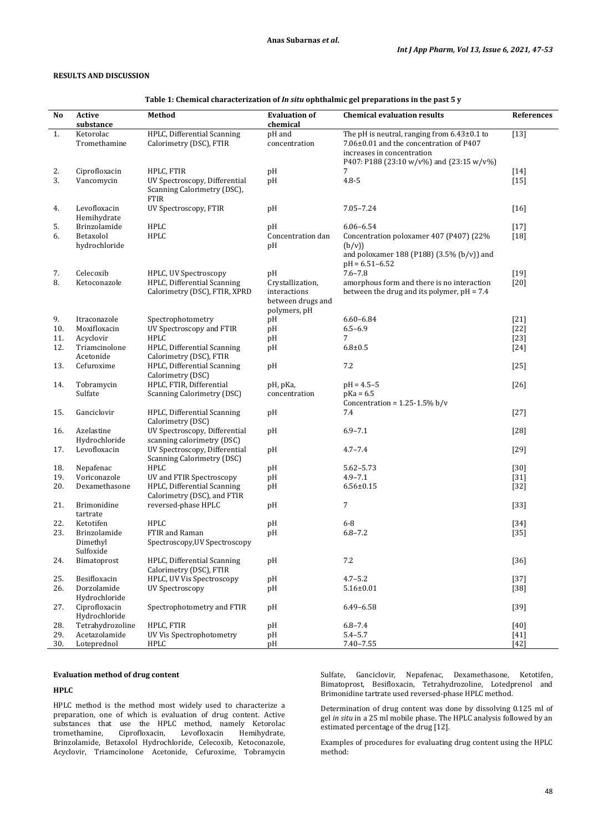## **RESULTS AND DISCUSSION**

| No  | Active                         | Method                                                               | <b>Evaluation of</b>                                                  | <b>Chemical evaluation results</b>                                                                                                                                   | References |
|-----|--------------------------------|----------------------------------------------------------------------|-----------------------------------------------------------------------|----------------------------------------------------------------------------------------------------------------------------------------------------------------------|------------|
|     | substance                      |                                                                      | chemical                                                              |                                                                                                                                                                      |            |
| 1.  | Ketorolac<br>Tromethamine      | HPLC, Differential Scanning<br>Calorimetry (DSC), FTIR               | pH and<br>concentration                                               | The pH is neutral, ranging from $6.43\pm0.1$ to<br>7.06±0.01 and the concentration of P407<br>increases in concentration<br>P407: P188 (23:10 w/v%) and (23:15 w/v%) | $[13]$     |
| 2.  | Ciprofloxacin                  | HPLC, FTIR                                                           | pH                                                                    | 7                                                                                                                                                                    | $[14]$     |
| 3.  | Vancomycin                     | UV Spectroscopy, Differential<br>Scanning Calorimetry (DSC),<br>FTIR | pH                                                                    | $4.8 - 5$                                                                                                                                                            | $[15]$     |
| 4.  | Levofloxacin<br>Hemihydrate    | UV Spectroscopy, FTIR                                                | pH                                                                    | 7.05-7.24                                                                                                                                                            | $[16]$     |
| 5.  | Brinzolamide                   | HPLC                                                                 | pH                                                                    | $6.06 - 6.54$                                                                                                                                                        | $[17]$     |
| 6.  | Betaxolol                      | <b>HPLC</b>                                                          | Concentration dan                                                     | Concentration poloxamer 407 (P407) (22%                                                                                                                              | $[18]$     |
|     | hydrochloride                  |                                                                      | pH                                                                    | (b/v))<br>and poloxamer 188 (P188) (3.5% (b/v)) and<br>$pH = 6.51 - 6.52$                                                                                            |            |
| 7.  | Celecoxib                      | HPLC, UV Spectroscopy                                                | pH                                                                    | $7.6 - 7.8$                                                                                                                                                          | $[19]$     |
| 8.  | Ketoconazole                   | HPLC, Differential Scanning<br>Calorimetry (DSC), FTIR, XPRD         | Crystallization,<br>interactions<br>between drugs and<br>polymers, pH | amorphous form and there is no interaction<br>between the drug and its polymer, $pH = 7.4$                                                                           | $[20]$     |
| 9.  | Itraconazole                   | Spectrophotometry                                                    | pН                                                                    | $6.60 - 6.84$                                                                                                                                                        | $[21]$     |
| 10. | Moxifloxacin                   | UV Spectroscopy and FTIR                                             | pH                                                                    | $6.5 - 6.9$                                                                                                                                                          | $[22]$     |
| 11. | Acyclovir                      | <b>HPLC</b>                                                          | pH                                                                    | 7                                                                                                                                                                    | $[23]$     |
| 12. | Triamcinolone<br>Acetonide     | HPLC, Differential Scanning<br>Calorimetry (DSC), FTIR               | pH                                                                    | $6.8 + 0.5$                                                                                                                                                          | $[24]$     |
| 13. | Cefuroxime                     | HPLC, Differential Scanning<br>Calorimetry (DSC)                     | pH                                                                    | 7.2                                                                                                                                                                  | $[25]$     |
| 14. | Tobramycin                     | HPLC, FTIR, Differential                                             | рН, рКа,                                                              | $pH = 4.5 - 5$                                                                                                                                                       | $[26]$     |
|     | Sulfate                        | <b>Scanning Calorimetry (DSC)</b>                                    | concentration                                                         | $pKa = 6.5$<br>Concentration = $1.25 - 1.5\%$ b/v                                                                                                                    |            |
| 15. | Ganciclovir                    | HPLC, Differential Scanning<br>Calorimetry (DSC)                     | pH                                                                    | 7.4                                                                                                                                                                  | $[27]$     |
| 16. | Azelastine<br>Hydrochloride    | UV Spectroscopy, Differential<br>scanning calorimetry (DSC)          | pН                                                                    | $6.9 - 7.1$                                                                                                                                                          | $[28]$     |
| 17. | Levofloxacin                   | UV Spectroscopy, Differential<br><b>Scanning Calorimetry (DSC)</b>   | pН                                                                    | $4.7 - 7.4$                                                                                                                                                          | $[29]$     |
| 18. | Nepafenac                      | <b>HPLC</b>                                                          | pH                                                                    | $5.62 - 5.73$                                                                                                                                                        | $[30]$     |
|     | Voriconazole                   |                                                                      |                                                                       | $4.9 - 7.1$                                                                                                                                                          |            |
| 19. |                                | UV and FTIR Spectroscopy                                             | pH                                                                    |                                                                                                                                                                      | $[31]$     |
| 20. | Dexamethasone                  | HPLC, Differential Scanning<br>Calorimetry (DSC), and FTIR           | pH                                                                    | $6.56 \pm 0.15$                                                                                                                                                      | $[32]$     |
| 21. | Brimonidine<br>tartrate        | reversed-phase HPLC                                                  | pН                                                                    | 7                                                                                                                                                                    | $[33]$     |
| 22. | Ketotifen                      | HPLC                                                                 | pH                                                                    | $6 - 8$                                                                                                                                                              | $[34]$     |
| 23. | Brinzolamide<br>Dimethyl       | FTIR and Raman<br>Spectroscopy, UV Spectroscopy                      | pH                                                                    | $6.8 - 7.2$                                                                                                                                                          | $[35]$     |
| 24. | Sulfoxide<br>Bimatoprost       | HPLC, Differential Scanning                                          | pH                                                                    | 7.2                                                                                                                                                                  | $[36]$     |
|     |                                | Calorimetry (DSC), FTIR                                              |                                                                       |                                                                                                                                                                      |            |
| 25. | Besifloxacin                   | HPLC, UV Vis Spectroscopy                                            | pH                                                                    | $4.7 - 5.2$                                                                                                                                                          | $[37]$     |
| 26. | Dorzolamide<br>Hydrochloride   | UV Spectroscopy                                                      | pH                                                                    | $5.16 \pm 0.01$                                                                                                                                                      | $[38]$     |
| 27. | Ciprofloxacin<br>Hydrochloride | Spectrophotometry and FTIR                                           | pH                                                                    | $6.49 - 6.58$                                                                                                                                                        | $[39]$     |
| 28. | Tetrahydrozoline               | HPLC, FTIR                                                           | pH                                                                    | $6.8 - 7.4$                                                                                                                                                          | [40]       |
| 29. | Acetazolamide                  | UV Vis Spectrophotometry                                             | pH                                                                    | $5.4 - 5.7$                                                                                                                                                          | $[41]$     |
| 30. | Loteprednol                    | HPLC                                                                 | pH                                                                    | $7.40 - 7.55$                                                                                                                                                        | $[42]$     |

**Table 1: Chemical characterization of** *In situ* **ophthalmic gel preparations in the past 5 y**

## **Evaluation method of drug content**

#### **HPLC**

J.

HPLC method is the method most widely used to characterize a preparation, one of which is evaluation of drug content. Active substances that use the HPLC method, namely Ketorolac<br>tromethamine, Ciprofloxacin, Levofloxacin Hemihydrate, tromethamine, Ciprofloxacin, Levofloxacin Brinzolamide, Betaxolol Hydrochloride, Celecoxib, Ketoconazole, Acyclovir, Triamcinolone Acetonide, Cefuroxime, Tobramycin Sulfate, Ganciclovir, Nepafenac, Dexamethasone, Ketotifen, Bimatoprost, Besifloxacin, Tetrahydrozoline, Lotedprenol and Brimonidine tartrate used reversed-phase HPLC method.

Determination of drug content was done by dissolving 0.125 ml of gel *in situ* in a 25 ml mobile phase. The HPLC analysis followed by an estimated percentage of the drug [12].

Examples of procedures for evaluating drug content using the HPLC method: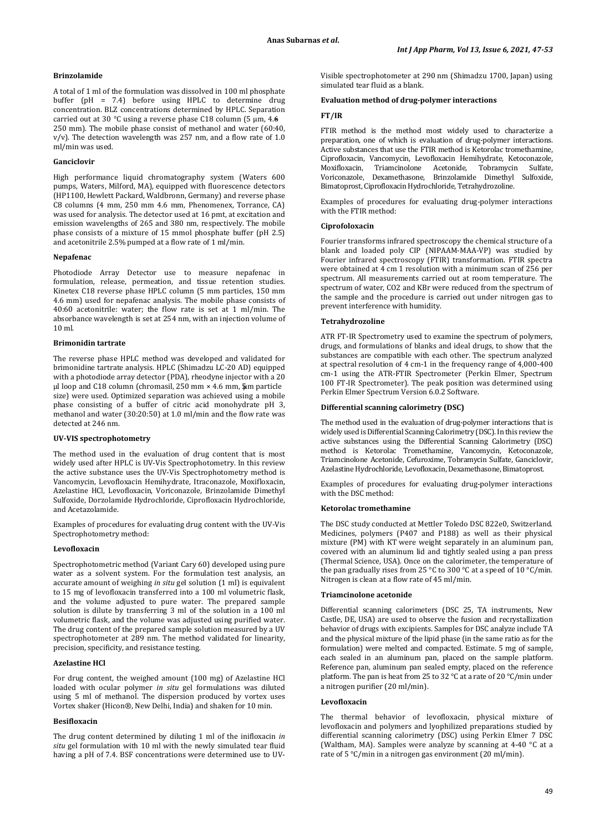### **Brinzolamide**

A total of 1 ml of the formulation was dissolved in 100 ml phosphate buffer (pH = 7.4) before using HPLC to determine drug concentration. BLZ concentrations determined by HPLC. Separation carried out at 30 °C using a reverse phase C18 column (5 μm, 4.6 × 250 mm). The mobile phase consist of methanol and water (60:40, v/v). The detection wavelength was 257 nm, and a flow rate of 1.0 ml/min was used.

#### **Ganciclovir**

High performance liquid chromatography system (Waters 600 pumps, Waters, Milford, MA), equipped with fluorescence detectors (HP1100, Hewlett Packard, Waldbronn, Germany) and reverse phase C8 columns (4 mm, 250 mm 4.6 mm, Phenomenex, Torrance, CA) was used for analysis. The detector used at 16 pmt, at excitation and emission wavelengths of 265 and 380 nm, respectively. The mobile phase consists of a mixture of 15 mmol phosphate buffer (pH 2.5) and acetonitrile 2.5% pumped at a flow rate of 1 ml/min.

## **Nepafenac**

Photodiode Array Detector use to measure nepafenac in formulation, release, permeation, and tissue retention studies. Kinetex C18 reverse phase HPLC column (5 mm particles, 150 mm 4.6 mm) used for nepafenac analysis. The mobile phase consists of 40:60 acetonitrile: water; the flow rate is set at 1 ml/min. The absorbance wavelength is set at 254 nm, with an injection volume of 10 ml.

### **Brimonidin tartrate**

The reverse phase HPLC method was developed and validated for brimonidine tartrate analysis. HPLC (Shimadzu LC-20 AD) equipped with a photodiode array detector (PDA), rheodyne injector with a 20 µl loop and C18 column (chromasil, 250 mm × 4.6 mm, 5μm particle size) were used. Optimized separation was achieved using a mobile phase consisting of a buffer of citric acid monohydrate pH 3, methanol and water (30:20:50) at 1.0 ml/min and the flow rate was detected at 246 nm.

## **UV-VIS spectrophotometry**

The method used in the evaluation of drug content that is most widely used after HPLC is UV-Vis Spectrophotometry. In this review the active substance uses the UV-Vis Spectrophotometry method is Vancomycin, Levofloxacin Hemihydrate, Itraconazole, Moxifloxacin, Azelastine HCl, Levofloxacin, Voriconazole, Brinzolamide Dimethyl Sulfoxide, Dorzolamide Hydrochloride, Ciprofloxacin Hydrochloride, and Acetazolamide.

Examples of procedures for evaluating drug content with the UV-Vis Spectrophotometry method:

#### **Levofloxacin**

Spectrophotometric method (Variant Cary 60) developed using pure water as a solvent system. For the formulation test analysis, an accurate amount of weighing *in situ* gel solution (1 ml) is equivalent to 15 mg of levofloxacin transferred into a 100 ml volumetric flask, and the volume adjusted to pure water. The prepared sample solution is dilute by transferring 3 ml of the solution in a 100 ml volumetric flask, and the volume was adjusted using purified water. The drug content of the prepared sample solution measured by a UV spectrophotometer at 289 nm. The method validated for linearity, precision, specificity, and resistance testing.

## **Azelastine HCl**

For drug content, the weighed amount (100 mg) of Azelastine HCl loaded with ocular polymer *in situ* gel formulations was diluted using 5 ml of methanol. The dispersion produced by vortex uses Vortex shaker (Hicon®, New Delhi, India) and shaken for 10 min.

## **Besifloxacin**

The drug content determined by diluting 1 ml of the inifloxacin *in situ* gel formulation with 10 ml with the newly simulated tear fluid having a pH of 7.4. BSF concentrations were determined use to UV-

Visible spectrophotometer at 290 nm (Shimadzu 1700, Japan) using simulated tear fluid as a blank.

## **Evaluation method of drug-polymer interactions**

### **FT/IR**

FTIR method is the method most widely used to characterize a preparation, one of which is evaluation of drug-polymer interactions. Active substances that use the FTIR method is Ketorolac tromethamine, Ciprofloxacin, Vancomycin, Levofloxacin Hemihydrate, Ketoconazole, Moxifloxacin, Triamcinolone Acetonide, Tobramycin Sulfate, Voriconazole, Dexamethasone, Brinzolamide Dimethyl Sulfoxide, Bimatoprost, Ciprofloxacin Hydrochloride, Tetrahydrozoline.

Examples of procedures for evaluating drug-polymer interactions with the FTIR method:

#### **Ciprofoloxacin**

Fourier transforms infrared spectroscopy the chemical structure of a blank and loaded poly CIP (NIPAAM-MAA-VP) was studied by Fourier infrared spectroscopy (FTIR) transformation. FTIR spectra were obtained at 4 cm 1 resolution with a minimum scan of 256 per spectrum. All measurements carried out at room temperature. The spectrum of water, CO2 and KBr were reduced from the spectrum of the sample and the procedure is carried out under nitrogen gas to prevent interference with humidity.

### **Tetrahydrozoline**

ATR FT-IR Spectrometry used to examine the spectrum of polymers, drugs, and formulations of blanks and ideal drugs, to show that the substances are compatible with each other. The spectrum analyzed at spectral resolution of 4 cm-1 in the frequency range of 4,000-400 cm-1 using the ATR-FTIR Spectrometer (Perkin Elmer, Spectrum 100 FT-IR Spectrometer). The peak position was determined using Perkin Elmer Spectrum Version 6.0.2 Software.

#### **Differential scanning calorimetry (DSC)**

The method used in the evaluation of drug-polymer interactions that is widely used is Differential Scanning Calorimetry (DSC). In this review the active substances using the Differential Scanning Calorimetry (DSC) method is Ketorolac Tromethamine, Vancomycin, Ketoconazole, Triamcinolone Acetonide, Cefuroxime, Tobramycin Sulfate, Ganciclovir, Azelastine Hydrochloride, Levofloxacin, Dexamethasone, Bimatoprost.

Examples of procedures for evaluating drug-polymer interactions with the DSC method:

#### **Ketorolac tromethamine**

The DSC study conducted at Mettler Toledo DSC 822e0, Switzerland. Medicines, polymers (P407 and P188) as well as their physical mixture (PM) with KT were weight separately in an aluminum pan, covered with an aluminum lid and tightly sealed using a pan press (Thermal Science, USA). Once on the calorimeter, the temperature of the pan gradually rises from 25 °C to 300 °C at a speed of 10 °C/min. Nitrogen is clean at a flow rate of 45 ml/min.

#### **Triamcinolone acetonide**

Differential scanning calorimeters (DSC 25, TA instruments, New Castle, DE, USA) are used to observe the fusion and recrystallization behavior of drugs with excipients. Samples for DSC analyze include TA and the physical mixture of the lipid phase (in the same ratio as for the formulation) were melted and compacted. Estimate. 5 mg of sample, each sealed in an aluminum pan, placed on the sample platform. Reference pan, aluminum pan sealed empty, placed on the reference platform. The pan is heat from 25 to 32 °C at a rate of 20 °C/min under a nitrogen purifier (20 ml/min).

#### **Levofloxacin**

The thermal behavior of levofloxacin, physical mixture of levofloxacin and polymers and lyophilized preparations studied by differential scanning calorimetry (DSC) using Perkin Elmer 7 DSC (Waltham, MA). Samples were analyze by scanning at 4-40 °C at a rate of 5 °C/min in a nitrogen gas environment (20 ml/min).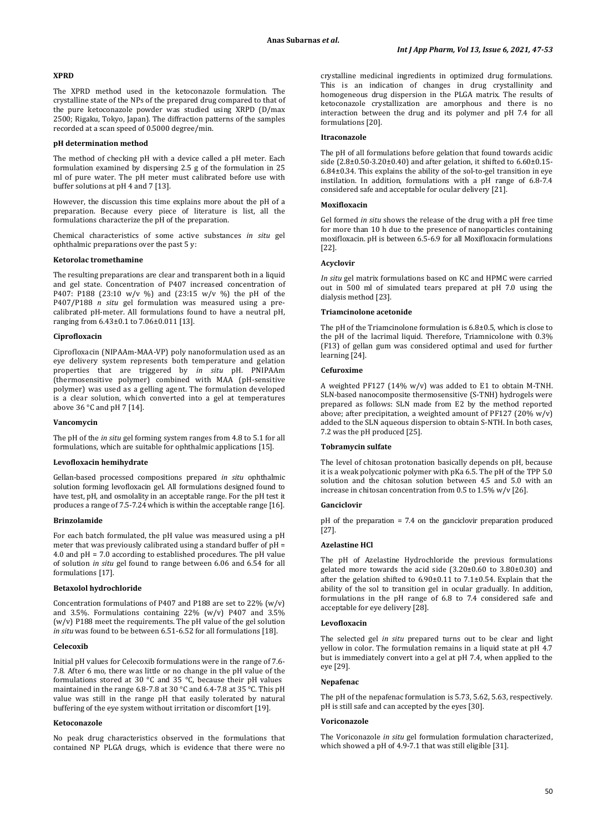## **XPRD**

The XPRD method used in the ketoconazole formulation. The crystalline state of the NPs of the prepared drug compared to that of the pure ketoconazole powder was studied using XRPD (D/max 2500; Rigaku, Tokyo, Japan). The diffraction patterns of the samples recorded at a scan speed of 0.5000 degree/min.

#### **pH determination method**

The method of checking pH with a device called a pH meter. Each formulation examined by dispersing 2.5 g of the formulation in 25 ml of pure water. The pH meter must calibrated before use with buffer solutions at pH 4 and 7 [13].

However, the discussion this time explains more about the pH of a preparation. Because every piece of literature is list, all the formulations characterize the pH of the preparation.

Chemical characteristics of some active substances *in situ* gel ophthalmic preparations over the past 5 y:

#### **Ketorolac tromethamine**

The resulting preparations are clear and transparent both in a liquid and gel state. Concentration of P407 increased concentration of P407: P188 (23:10 w/v %) and (23:15 w/v %) the pH of the P407/P188 *n situ* gel formulation was measured using a precalibrated pH-meter. All formulations found to have a neutral pH, ranging from 6.43±0.1 to 7.06±0.011 [13].

#### **Ciprofloxacin**

Ciprofloxacin (NIPAAm-MAA-VP) poly nanoformulation used as an eye delivery system represents both temperature and gelation properties that are triggered by *in situ* pH. PNIPAAm (thermosensitive polymer) combined with MAA (pH-sensitive polymer) was used as a gelling agent. The formulation developed is a clear solution, which converted into a gel at temperatures above  $36^{\circ}$ C and pH 7 [14].

#### **Vancomycin**

The pH of the *in situ* gel forming system ranges from 4.8 to 5.1 for all formulations, which are suitable for ophthalmic applications [15].

### **Levofloxacin hemihydrate**

Gellan-based processed compositions prepared *in situ* ophthalmic solution forming levofloxacin gel. All formulations designed found to have test, pH, and osmolality in an acceptable range. For the pH test it produces a range of 7.5-7.24 which is within the acceptable range [16].

#### **Brinzolamide**

For each batch formulated, the pH value was measured using a pH meter that was previously calibrated using a standard buffer of pH = 4.0 and pH = 7.0 according to established procedures. The pH value of solution *in situ* gel found to range between 6.06 and 6.54 for all formulations [17].

## **Betaxolol hydrochloride**

Concentration formulations of P407 and P188 are set to 22% (w/v) and 3.5%. Formulations containing 22%  $(w/v)$  P407 and 3.5% (w/v) P188 meet the requirements. The pH value of the gel solution *in situ* was found to be between 6.51-6.52 for all formulations [18].

### **Celecoxib**

Initial pH values for Celecoxib formulations were in the range of 7.6- 7.8. After 6 mo, there was little or no change in the pH value of the formulations stored at 30 °C and 35 °C, because their pH values maintained in the range 6.8-7.8 at 30 °C and 6.4-7.8 at 35 °C. This pH value was still in the range pH that easily tolerated by natural buffering of the eye system without irritation or discomfort [19].

#### **Ketoconazole**

No peak drug characteristics observed in the formulations that contained NP PLGA drugs, which is evidence that there were no crystalline medicinal ingredients in optimized drug formulations. This is an indication of changes in drug crystallinity and homogeneous drug dispersion in the PLGA matrix. The results of ketoconazole crystallization are amorphous and there is no interaction between the drug and its polymer and pH 7.4 for all formulations [20].

## **Itraconazole**

The pH of all formulations before gelation that found towards acidic side  $(2.8\pm0.50-3.20\pm0.40)$  and after gelation, it shifted to  $6.60\pm0.15-$ 6.84±0.34. This explains the ability of the sol-to-gel transition in eye instilation. In addition, formulations with a pH range of 6.8-7.4 considered safe and acceptable for ocular delivery [21].

### **Moxifloxacin**

Gel formed *in situ* shows the release of the drug with a pH free time for more than 10 h due to the presence of nanoparticles containing moxifloxacin. pH is between 6.5-6.9 for all Moxifloxacin formulations [22].

## **Acyclovir**

*In situ* gel matrix formulations based on KC and HPMC were carried out in 500 ml of simulated tears prepared at pH 7.0 using the dialysis method [23].

#### **Triamcinolone acetonide**

The pH of the Triamcinolone formulation is 6.8±0.5, which is close to the pH of the lacrimal liquid. Therefore, Triamnicolone with 0.3% (F13) of gellan gum was considered optimal and used for further learning [24].

#### **Cefuroxime**

A weighted PF127 (14% w/v) was added to E1 to obtain M-TNH. SLN-based nanocomposite thermosensitive (S-TNH) hydrogels were prepared as follows: SLN made from E2 by the method reported above; after precipitation, a weighted amount of PF127 (20% w/v) added to the SLN aqueous dispersion to obtain S-NTH. In both cases, 7.2 was the pH produced [25].

## **Tobramycin sulfate**

The level of chitosan protonation basically depends on pH, because it is a weak polycationic polymer with pKa 6.5. The pH of the TPP 5.0 solution and the chitosan solution between 4.5 and 5.0 with an increase in chitosan concentration from 0.5 to 1.5% w/v [26].

### **Ganciclovir**

pH of the preparation = 7.4 on the ganciclovir preparation produced [27].

#### **Azelastine HCl**

The pH of Azelastine Hydrochloride the previous formulations gelated more towards the acid side (3.20±0.60 to 3.80±0.30) and after the gelation shifted to 6.90±0.11 to 7.1±0.54. Explain that the ability of the sol to transition gel in ocular gradually. In addition, formulations in the pH range of 6.8 to 7.4 considered safe and acceptable for eye delivery [28].

#### **Levofloxacin**

The selected gel *in situ* prepared turns out to be clear and light yellow in color. The formulation remains in a liquid state at pH 4.7 but is immediately convert into a gel at pH 7.4, when applied to the eye [29].

### **Nepafenac**

The pH of the nepafenac formulation is 5.73, 5.62, 5.63, respectively. pH is still safe and can accepted by the eyes [30].

#### **Voriconazole**

The Voriconazole *in situ* gel formulation formulation characterized, which showed a pH of 4.9-7.1 that was still eligible [31].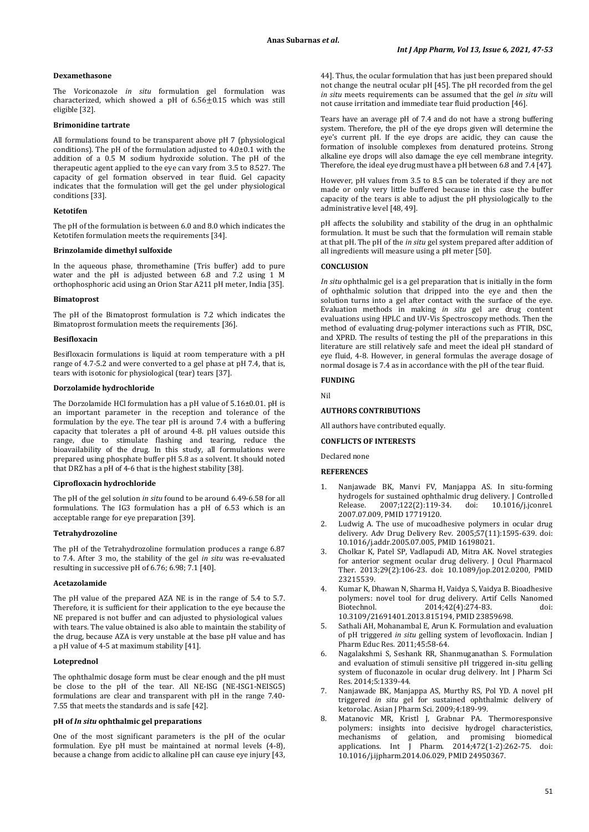#### **Dexamethasone**

The Voriconazole *in situ* formulation gel formulation was characterized, which showed a pH of  $6.56 \pm 0.15$  which was still eligible [32].

## **Brimonidine tartrate**

All formulations found to be transparent above pH 7 (physiological conditions). The pH of the formulation adjusted to 4.0±0.1 with the addition of a 0.5 M sodium hydroxide solution. The pH of the therapeutic agent applied to the eye can vary from 3.5 to 8.527. The capacity of gel formation observed in tear fluid. Gel capacity indicates that the formulation will get the gel under physiological conditions [33].

## **Ketotifen**

The pH of the formulation is between 6.0 and 8.0 which indicates the Ketotifen formulation meets the requirements [34].

#### **Brinzolamide dimethyl sulfoxide**

In the aqueous phase, thromethamine (Tris buffer) add to pure water and the pH is adjusted between 6.8 and 7.2 using 1 M orthophosphoric acid using an Orion Star A211 pH meter, India [35].

#### **Bimatoprost**

The pH of the Bimatoprost formulation is 7.2 which indicates the Bimatoprost formulation meets the requirements [36].

#### **Besifloxacin**

Besifloxacin formulations is liquid at room temperature with a pH range of 4.7-5.2 and were converted to a gel phase at pH 7.4, that is, tears with isotonic for physiological (tear) tears [37].

### **Dorzolamide hydrochloride**

The Dorzolamide HCl formulation has a pH value of 5.16±0.01. pH is an important parameter in the reception and tolerance of the formulation by the eye. The tear pH is around 7.4 with a buffering capacity that tolerates a pH of around 4-8. pH values outside this range, due to stimulate flashing and tearing, reduce the bioavailability of the drug. In this study, all formulations were prepared using phosphate buffer pH 5.8 as a solvent. It should noted that DRZ has a pH of 4-6 that is the highest stability [38].

### **Ciprofloxacin hydrochloride**

The pH of the gel solution *in situ* found to be around 6.49-6.58 for all formulations. The IG3 formulation has a pH of 6.53 which is an acceptable range for eye preparation [39].

#### **Tetrahydrozoline**

The pH of the Tetrahydrozoline formulation produces a range 6.87 to 7.4. After 3 mo, the stability of the gel *in situ* was re-evaluated resulting in successive pH of 6.76; 6.98; 7.1 [40].

### **Acetazolamide**

The pH value of the prepared AZA NE is in the range of 5.4 to 5.7. Therefore, it is sufficient for their application to the eye because the NE prepared is not buffer and can adjusted to physiological values with tears. The value obtained is also able to maintain the stability of the drug, because AZA is very unstable at the base pH value and has a pH value of 4-5 at maximum stability [41].

#### **Loteprednol**

The ophthalmic dosage form must be clear enough and the pH must be close to the pH of the tear. All NE-ISG (NE-ISG1-NEISG5) formulations are clear and transparent with pH in the range 7.40- 7.55 that meets the standards and is safe [42].

#### **pH of** *In situ* **ophthalmic gel preparations**

One of the most significant parameters is the pH of the ocular formulation. Eye pH must be maintained at normal levels (4-8), because a change from acidic to alkaline pH can cause eye injury [43,

44]. Thus, the ocular formulation that has just been prepared should not change the neutral ocular pH [45]. The pH recorded from the gel *in situ* meets requirements can be assumed that the gel *in situ* will not cause irritation and immediate tear fluid production [46].

Tears have an average pH of 7.4 and do not have a strong buffering system. Therefore, the pH of the eye drops given will determine the eye's current pH. If the eye drops are acidic, they can cause the formation of insoluble complexes from denatured proteins. Strong alkaline eye drops will also damage the eye cell membrane integrity. Therefore, the ideal eye drug must have a pH between 6.8 and 7.4 [47].

However, pH values from 3.5 to 8.5 can be tolerated if they are not made or only very little buffered because in this case the buffer capacity of the tears is able to adjust the pH physiologically to the administrative level [48, 49].

pH affects the solubility and stability of the drug in an ophthalmic formulation. It must be such that the formulation will remain stable at that pH. The pH of the *in situ* gel system prepared after addition of all ingredients will measure using a pH meter [50].

## **CONCLUSION**

*In situ* ophthalmic gel is a gel preparation that is initially in the form of ophthalmic solution that dripped into the eye and then the solution turns into a gel after contact with the surface of the eve. Evaluation methods in making *in situ* gel are drug content evaluations using HPLC and UV-Vis Spectroscopy methods. Then the method of evaluating drug-polymer interactions such as FTIR, DSC, and XPRD. The results of testing the pH of the preparations in this literature are still relatively safe and meet the ideal pH standard of eye fluid, 4-8. However, in general formulas the average dosage of normal dosage is 7.4 as in accordance with the pH of the tear fluid.

#### **FUNDING**

Nil

#### **AUTHORS CONTRIBUTIONS**

All authors have contributed equally.

## **CONFLICTS OF INTERESTS**

Declared none

## **REFERENCES**

- 1. Nanjawade BK, Manvi FV, Manjappa AS. In situ-forming hydrogels for sustained ophthalmic drug delivery. J Controlled<br>Release. 2007;122(2):119-34. doi: 10.1016/j.jconrel. [10.1016/j.jconrel.](https://doi.org/10.1016/j.jconrel.2007.07.009) [2007.07.009,](https://doi.org/10.1016/j.jconrel.2007.07.009) PMI[D 17719120.](https://www.ncbi.nlm.nih.gov/pubmed/17719120)
- Ludwig A. The use of mucoadhesive polymers in ocular drug delivery. Adv Drug Delivery Rev. 2005;57(11):1595-639. doi: [10.1016/j.addr.2005.07.005,](https://doi.org/10.1016/j.addr.2005.07.005) PMI[D 16198021.](https://www.ncbi.nlm.nih.gov/pubmed/16198021)
- 3. Cholkar K, Patel SP, Vadlapudi AD, Mitra AK. Novel strategies for anterior segment ocular drug delivery. J Ocul Pharmacol Ther. 2013;29(2):106-23. doi: [10.1089/jop.2012.0200,](https://doi.org/10.1089/jop.2012.0200) PMID [23215539.](https://www.ncbi.nlm.nih.gov/pubmed/23215539)
- 4. Kumar K, Dhawan N, Sharma H, Vaidya S, Vaidya B. Bioadhesive polymers: novel tool for drug delivery. Artif Cells Nanomed Biotechnol. 2014;42(4):274-83. doi: [10.3109/21691401.2013.815194,](https://doi.org/10.3109/21691401.2013.815194) PMI[D 23859698.](https://www.ncbi.nlm.nih.gov/pubmed/23859698)
- 5. Sathali AH, Mohanambal E, Arun K. Formulation and evaluation of pH triggered *in situ* gelling system of levofloxacin. Indian J Pharm Educ Res. 2011;45:58-64.
- 6. Nagalakshmi S, Seshank RR, Shanmuganathan S. Formulation and evaluation of stimuli sensitive pH triggered in-situ gelling system of fluconazole in ocular drug delivery. Int J Pharm Sci Res. 2014;5:1339-44.
- 7. Nanjawade BK, Manjappa AS, Murthy RS, Pol YD. A novel pH triggered *in situ* gel for sustained ophthalmic delivery of ketorolac. Asian J Pharm Sci. 2009;4:189-99.
- 8. Matanovic MR, Kristl J, Grabnar PA. Thermoresponsive polymers: insights into decisive hydrogel characteristics, promising biomedical applications. Int J Pharm. 2014;472(1-2):262-75. doi: [10.1016/j.ijpharm.2014.06.029,](https://doi.org/10.1016/j.ijpharm.2014.06.029) PMI[D 24950367.](https://www.ncbi.nlm.nih.gov/pubmed/24950367)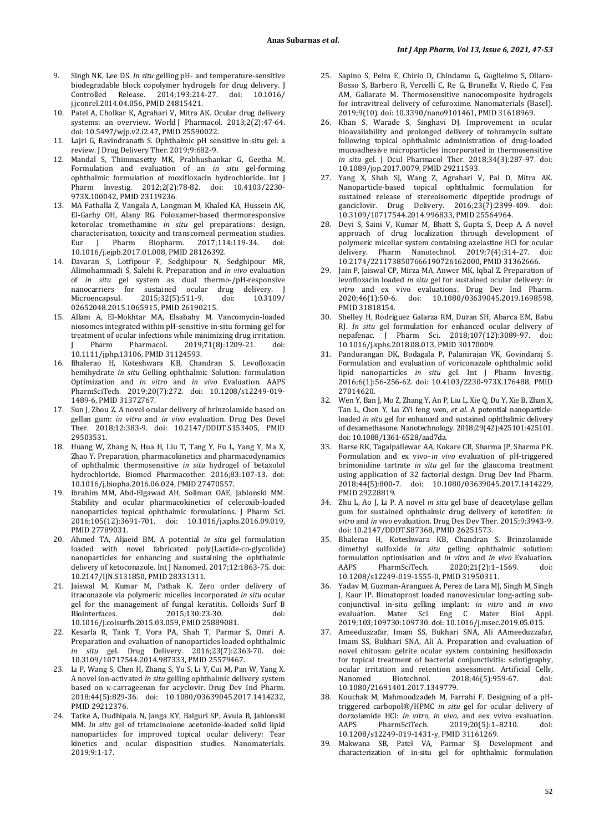- 9. Singh NK, Lee DS. *In situ* gelling pH- and temperature-sensitive biodegradable block copolymer hydrogels for drug delivery. J<br>Controlled Release. 2014;193:214-27. doi: 10.1016/ Release. 2014;193:214-27. doi: [j.jconrel.2014.04.056,](https://doi.org/10.1016/j.jconrel.2014.04.056) PMI[D 24815421.](https://www.ncbi.nlm.nih.gov/pubmed/24815421)
- 10. Patel A, Cholkar K, Agrahari V, Mitra AK. Ocular drug delivery systems: an overview. World J Pharmacol. 2013;2(2):47-64. doi[: 10.5497/wjp.v2.i2.47,](https://doi.org/10.5497/wjp.v2.i2.47) PMI[D 25590022.](https://www.ncbi.nlm.nih.gov/pubmed/25590022)
- 11. Lajri G, Ravindranath S. Ophthalmic pH sensitive in-situ gel: a review. J Drug Delivery Ther. 2019;9:682-9.
- 12. Mandal S, Thimmasetty MK, Prabhushankar G, Geetha M. Formulation and evaluation of an *in situ* gel-forming ophthalmic formulation of moxifloxacin hydrochloride. Int J Pharm Investig. 2012;2(2):78-82. doi: [10.4103/2230-](https://doi.org/10.4103/2230-973X.100042) [973X.100042,](https://doi.org/10.4103/2230-973X.100042) PMI[D 23119236.](https://www.ncbi.nlm.nih.gov/pubmed/23119236)
- 13. MA Fathalla Z, Vangala A, Longman M, Khaled KA, Hussein AK, El-Garhy OH, Alany RG. Poloxamer-based thermoresponsive ketorolac tromethamine *in situ* gel preparations: design, characterisation, toxicity and transcorneal permeation studies.<br>Fur I Pharm Biopharm 2017:114:119-34 doi: Eur J Pharm Biopharm. 2017:114:119-34. [10.1016/j.ejpb.2017.01.008,](https://doi.org/10.1016/j.ejpb.2017.01.008) PMI[D 28126392.](https://www.ncbi.nlm.nih.gov/pubmed/28126392)
- 14. Davaran S, Lotfipour F, Sedghipour N, Sedghipour MR, Alimohammadi S, Salehi R. Preparation and *in vivo* evaluation of *in situ* gel system as dual thermo-/pH-responsive nanocarriers for sustained ocular drug delivery. J<br>Microencapsul. 2015;32(5):511-9. doi: 10.3109/ Microencapsul. 2015;32(5):511-9. doi: [10.3109/](https://doi.org/10.3109/02652048.2015.1065915) [02652048.2015.1065915,](https://doi.org/10.3109/02652048.2015.1065915) PMI[D 26190215.](https://www.ncbi.nlm.nih.gov/pubmed/26190215)
- 15. Allam A, El-Mokhtar MA, Elsabahy M. Vancomycin-loaded niosomes integrated within pH-sensitive in-situ forming gel for treatment of ocular infections while minimizing drug irritation.<br>
I Pharm Pharmacol 2019:71(8):1209-21 doi: 2019;71(8):1209-21. [10.1111/jphp.13106,](https://doi.org/10.1111/jphp.13106) PMI[D 31124593.](https://www.ncbi.nlm.nih.gov/pubmed/31124593)
- 16. Bhalerao H, Koteshwara KB, Chandran S. Levofloxacin hemihydrate *in situ* Gelling ophthalmic Solution: formulation Optimization and *in vitro* and *in vivo* Evaluation. AAPS PharmSciTech. 2019;20(7):272. doi: [10.1208/s12249-019-](https://doi.org/10.1208/s12249-019-1489-6) [1489-6,](https://doi.org/10.1208/s12249-019-1489-6) PMI[D 31372767.](https://www.ncbi.nlm.nih.gov/pubmed/31372767)
- 17. Sun J, Zhou Z. A novel ocular delivery of brinzolamide based on gellan gum: *in vitro* and *in vivo* evaluation. Drug Des Devel Ther. 2018;12:383-9. doi: [10.2147/DDDT.S153405,](https://doi.org/10.2147/DDDT.S153405) PMID [29503531.](https://www.ncbi.nlm.nih.gov/pubmed/29503531)
- 18. Huang W, Zhang N, Hua H, Liu T, Tang Y, Fu L, Yang Y, Ma X, Zhao Y. Preparation, pharmacokinetics and pharmacodynamics of ophthalmic thermosensitive *in situ* hydrogel of betaxolol hydrochloride. Biomed Pharmacother. 2016;83:107-13. doi: [10.1016/j.biopha.2016.06.024,](https://doi.org/10.1016/j.biopha.2016.06.024) PMI[D 27470557.](https://www.ncbi.nlm.nih.gov/pubmed/27470557)
- 19. Ibrahim MM, Abd-Elgawad AH, Soliman OAE, Jablonski MM. Stability and ocular pharmacokinetics of celecoxib-loaded nanoparticles topical ophthalmic formulations. J Pharm Sci. 2016;105(12):3691-701. doi: [10.1016/j.xphs.2016.09.019,](https://doi.org/10.1016/j.xphs.2016.09.019)  PMI[D 27789031.](https://www.ncbi.nlm.nih.gov/pubmed/27789031)
- 20. Ahmed TA, Aljaeid BM. A potential *in situ* gel formulation loaded with novel fabricated poly(Lactide-co-glycolide) nanoparticles for enhancing and sustaining the ophthalmic delivery of ketoconazole. Int J Nanomed. 2017;12:1863-75. doi: [10.2147/IJN.S131850,](https://doi.org/10.2147/IJN.S131850) PMI[D 28331311.](https://www.ncbi.nlm.nih.gov/pubmed/28331311)
- 21. Jaiswal M, Kumar M, Pathak K. Zero order delivery of itraconazole via polymeric micelles incorporated *in situ* ocular gel for the management of fungal keratitis. Colloids Surf B Biointerfaces. 2015;130:23-30. doi: [10.1016/j.colsurfb.2015.03.059,](https://doi.org/10.1016/j.colsurfb.2015.03.059) PMI[D 25889081.](https://www.ncbi.nlm.nih.gov/pubmed/25889081)
- 22. Kesarla R, Tank T, Vora PA, Shah T, Parmar S, Omri A. Preparation and evaluation of nanoparticles loaded ophthalmic *in situ* gel. Drug Delivery. 2016;23(7):2363-70. doi: [10.3109/10717544.2014.987333,](https://doi.org/10.3109/10717544.2014.987333) PMI[D 25579467.](https://www.ncbi.nlm.nih.gov/pubmed/25579467)
- 23. Li P, Wang S, Chen H, Zhang S, Yu S, Li Y, Cui M, Pan W, Yang X. A novel ion-activated *in situ* gelling ophthalmic delivery system based on κ-carrageenan for acyclovir. Drug Dev Ind Pharm. 2018;44(5):829-36. doi: [10.1080/03639045.2017.1414232,](https://doi.org/10.1080/03639045.2017.1414232)  PMI[D 29212376.](https://www.ncbi.nlm.nih.gov/pubmed/29212376)
- 24. Tatke A, Dudhipala N, Janga KY, Balguri SP, Avula B, Jablonski MM. *In situ* gel of triamcinolone acetonide-loaded solid lipid nanoparticles for improved topical ocular delivery: Tear kinetics and ocular disposition studies. Nanomaterials. 2019;9:1-17.
- 25. Sapino S, Peira E, Chirio D, Chindamo G, Guglielmo S, Oliaro-Bosso S, Barbero R, Vercelli C, Re G, Brunella V, Riedo C, Fea AM, Gallarate M. Thermosensitive nanocomposite hydrogels for intravitreal delivery of cefuroxime. Nanomaterials (Basel). 2019;9(10). doi[: 10.3390/nano9101461,](https://doi.org/10.3390/nano9101461) PMI[D 31618969.](https://www.ncbi.nlm.nih.gov/pubmed/31618969)
- 26. Khan S, Warade S, Singhavi DJ. Improvement in ocular bioavailability and prolonged delivery of tobramycin sulfate following topical ophthalmic administration of drug-loaded mucoadhesive microparticles incorporated in thermosensitive *in situ* gel. J Ocul Pharmacol Ther. 2018;34(3):287-97. doi: [10.1089/jop.2017.0079,](https://doi.org/10.1089/jop.2017.0079) PMI[D 29211593.](https://www.ncbi.nlm.nih.gov/pubmed/29211593)
- 27. Yang X, Shah SJ, Wang Z, Agrahari V, Pal D, Mitra AK. Nanoparticle-based topical ophthalmic formulation for sustained release of stereoisomeric dipeptide prodrugs of<br>ganciclovir Drug Delivery 2016;23(7):2399-409 doi: ganciclovir. Drug Delivery. 2016;23(7):2399-409. [10.3109/10717544.2014.996833,](https://doi.org/10.3109/10717544.2014.996833) PMI[D 25564964.](https://www.ncbi.nlm.nih.gov/pubmed/25564964)
- 28. Devi S, Saini V, Kumar M, Bhatt S, Gupta S, Deep A. A novel approach of drug localization through development of polymeric micellar system containing azelastine HCl for ocular delivery. Pharm Manotechnol. 2019:7(4):314-27. doi: delivery. Pharm Nanotechnol. 2019;7(4):314-27. [10.2174/2211738507666190726162000,](https://doi.org/10.2174/2211738507666190726162000) PMI[D 31362666.](https://www.ncbi.nlm.nih.gov/pubmed/31362666)
- 29. Jain P, Jaiswal CP, Mirza MA, Anwer MK, Iqbal Z. Preparation of levofloxacin loaded *in situ* gel for sustained ocular delivery: *in vitro* and ex vivo evaluations. Drug Dev Ind Pharm. 2020;46(1):50-6. doi: [10.1080/03639045.2019.1698598,](https://doi.org/10.1080/03639045.2019.1698598)  PMI[D 31818154.](https://www.ncbi.nlm.nih.gov/pubmed/31818154)
- 30. Shelley H, Rodriguez Galarza RM, Duran SH, Abarca EM, Babu RJ. *In situ* gel formulation for enhanced ocular delivery of nepafenac. J Pharm Sci. 2018;107(12):3089-97. doi: [10.1016/j.xphs.2018.08.013,](https://doi.org/10.1016/j.xphs.2018.08.013) PMI[D 30170009.](https://www.ncbi.nlm.nih.gov/pubmed/30170009)
- 31. Pandurangan DK, Bodagala P, Palanirajan VK, Govindaraj S. Formulation and evaluation of voriconazole ophthalmic solid lipid nanoparticles *in situ* gel. Int J Pharm Investig. 2016;6(1):56-256-62. doi: [10.4103/2230-973X.176488,](https://doi.org/10.4103/2230-973X.176488) PMID [27014620.](https://www.ncbi.nlm.nih.gov/pubmed/27014620)
- 32. Wen Y, Ban J, Mo Z, Zhang Y, An P, Liu L, Xie Q, Du Y, Xie B, Zhan X, Tan L, Chen Y, Lu ZYi feng wen, *et al*. A potential nanoparticleloaded *in situ* gel for enhanced and sustained ophthalmic delivery of dexamethasone. Nanotechnology. 2018;29(42[\):425101:4](http://www.ncbi.nlm.nih.gov/pubmed/30074486)25101. doi[: 10.1088/1361-6528/aad7da.](https://doi.org/10.1088/1361-6528/aad7da)
- 33. Barse RK, Tagalpallewar AA, Kokare CR, Sharma JP, Sharma PK. Formulation and ex vivo–*in vivo* evaluation of pH-triggered brimonidine tartrate *in situ* gel for the glaucoma treatment using application of 32 factorial design. Drug Dev Ind Pharm. 2018;44(5):800-7. doi: [10.1080/03639045.2017.1414229,](https://doi.org/10.1080/03639045.2017.1414229)  PMI[D 29228819.](https://www.ncbi.nlm.nih.gov/pubmed/29228819)
- 34. Zhu L, Ao J, Li P. A novel *in situ* gel base of deacetylase gellan gum for sustained ophthalmic drug delivery of ketotifen: *in vitro* and *in vivo* evaluation. Drug Des Dev Ther. 2015;9:3943-9. doi[: 10.2147/DDDT.S87368,](https://doi.org/10.2147/DDDT.S87368) PMI[D 26251573.](https://www.ncbi.nlm.nih.gov/pubmed/26251573)
- 35. Bhalerao H, Koteshwara KB, Chandran S. Brinzolamide dimethyl sulfoxide *in situ* gelling ophthalmic solution: formulation optimisation and *in vitro* and *in vivo* Evaluation. 2020;21(2):1-1569. [10.1208/s12249-019-1555-0,](https://doi.org/10.1208/s12249-019-1555-0) PMI[D 31950311.](https://www.ncbi.nlm.nih.gov/pubmed/31950311)
- 36. Yadav M, Guzman-Aranguez A, Perez de Lara MJ, Singh M, Singh J, Kaur IP. Bimatoprost loaded nanovesicular long-acting subconjunctival in-situ gelling implant: *in vitro* and *in vivo* evaluation. Mater Sci Eng C Mater Biol Appl. 2019;103[;109730:1](http://www.ncbi.nlm.nih.gov/pubmed/31349399)09730. doi[: 10.1016/j.msec.2019.05.015.](https://doi.org/10.1016/j.msec.2019.05.015)
- 37. Ameeduzzafar, Imam SS, Bukhari SNA, Ali AAmeeduzzafar, Imam SS, Bukhari SNA, Ali A. Preparation and evaluation of novel chitosan: gelrite ocular system containing besifloxacin for topical treatment of bacterial conjunctivitis: scintigraphy, ocular irritation and retention assessment. Artificial Cells, 2018;46(5):959-67. [10.1080/21691401.2017.1349779.](https://doi.org/10.1080/21691401.2017.1349779)
- 38. Kouchak M, Mahmoodzadeh M, Farrahi F. Designing of a pHtriggered carbopol®/HPMC *in situ* gel for ocular delivery of dorzolamide HCl: *in vitro*, *in vivo*, and eex vvivo evaluation. 2019;20(5):1-8210. [10.1208/s12249-019-1431-y,](https://doi.org/10.1208/s12249-019-1431-y) PMI[D 31161269.](https://www.ncbi.nlm.nih.gov/pubmed/31161269)
- 39. Makwana SB, Patel VA, Parmar SJ. Development and characterization of in-situ gel for ophthalmic formulation